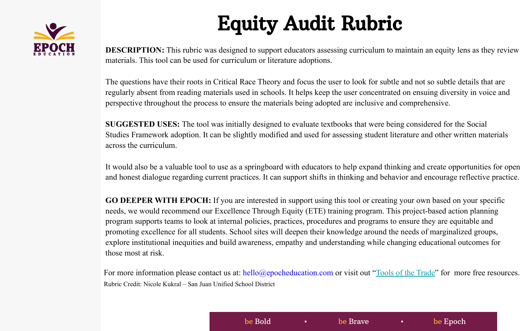

## Equity Audit Rubric

**DESCRIPTION:** This rubric was designed to support educators assessing curriculum to maintain an equity lens as they review materials. This tool can be used for curriculum or literature adoptions.

The questions have their roots in Critical Race Theory and focus the user to look for subtle and not so subtle details that are regularly absent from reading materials used in schools. It helps keep the user concentrated on ensuing diversity in voice and perspective throughout the process to ensure the materials being adopted are inclusive and comprehensive.

**SUGGESTED USES:** The tool was initially designed to evaluate textbooks that were being considered for the Social Studies Framework adoption. It can be slightly modified and used for assessing student literature and other written materials across the curriculum.

It would also be a valuable tool to use as a springboard with educators to help expand thinking and create opportunities for open and honest dialogue regarding current practices. It can support shifts in thinking and behavior and encourage reflective practice.

**GO DEEPER WITH EPOCH:** If you are interested in support using this tool or creating your own based on your specific needs, we would recommend our Excellence Through Equity (ETE) training program. This project-based action planning program supports teams to look at internal policies, practices, procedures and programs to ensure they are equitable and promoting excellence for all students. School sites will deepen their knowledge around the needs of marginalized groups, explore institutional inequities and build awareness, empathy and understanding while changing educational outcomes for those most at risk.

For more information please contact us at: hello@epocheducation.com or visit out "[Tools of the Trade"](https://epocheducation.com/resources/) for more free resources. Rubric Credit: Nicole Kukral – San Juan Unified School District

be Bold **be Brave be Brave be Epoch**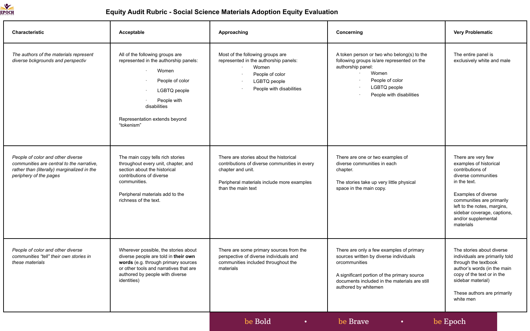

## **Equity Audit Rubric - Social Science Materials Adoption Equity Evaluation**

| Characteristic                                                                                                                                          | Acceptable                                                                                                                                                                                                      | Approaching                                                                                                                                                                      | Concerning                                                                                                                                                                                                                  | <b>Very Problematic</b>                                                                                                                                                                                                                                       |
|---------------------------------------------------------------------------------------------------------------------------------------------------------|-----------------------------------------------------------------------------------------------------------------------------------------------------------------------------------------------------------------|----------------------------------------------------------------------------------------------------------------------------------------------------------------------------------|-----------------------------------------------------------------------------------------------------------------------------------------------------------------------------------------------------------------------------|---------------------------------------------------------------------------------------------------------------------------------------------------------------------------------------------------------------------------------------------------------------|
| The authors of the materials represent<br>diverse bckgrounds and perspectiv                                                                             | All of the following groups are<br>represented in the authorship panels:<br>Women<br>People of color<br>LGBTQ people<br>People with<br>disabilities<br>Representation extends beyond<br>"tokenism"              | Most of the following groups are<br>represented in the authorship panels:<br>Women<br>People of color<br>LGBTQ people<br>People with disabilities                                | A token person or two who belong(s) to the<br>following groups is/are represented on the<br>authorship panel:<br>Women<br>People of color<br>LGBTQ people<br>People with disabilities                                       | The entire panel is<br>exclusively white and male                                                                                                                                                                                                             |
| People of color and other diverse<br>communities are central to the narrative.<br>rather than (literally) marginalized in the<br>periphery of the pages | The main copy tells rich stories<br>throughout every unit, chapter, and<br>section about the historical<br>contributions of diverse<br>communities.<br>Peripheral materials add to the<br>richness of the text. | There are stories about the historical<br>contributions of diverse communities in every<br>chapter and unit.<br>Peripheral materials include more examples<br>than the main text | There are one or two examples of<br>diverse communities in each<br>chapter.<br>The stories take up very little physical<br>space in the main copy.                                                                          | There are very few<br>examples of historical<br>contributions of<br>diverse communities<br>in the text.<br>Examples of diverse<br>communities are primarily<br>left to the notes, margins,<br>sidebar coverage, captions,<br>and/or supplemental<br>materials |
| People of color and other diverse<br>communities "tell" their own stories in<br>these materials                                                         | Wherever possible, the stories about<br>diverse people are told in their own<br>words (e.g. through primary sources<br>or other tools and narratives that are<br>authored by people with diverse<br>identities) | There are some primary sources from the<br>perspective of diverse individuals and<br>communities included throughout the<br>materials                                            | There are only a few examples of primary<br>sources written by diverse individuals<br>orcommunities<br>A significant portion of the primary source<br>documents included in the materials are still<br>authored by whitemen | The stories about diverse<br>individuals are primarily told<br>through the textbook<br>author's words (in the main<br>copy of the text or in the<br>sidebar material)<br>These authors are primarily<br>white men                                             |
|                                                                                                                                                         |                                                                                                                                                                                                                 | be Bold<br>$\bullet$                                                                                                                                                             | be Brave<br>$\bullet$ .                                                                                                                                                                                                     | be Epoch                                                                                                                                                                                                                                                      |